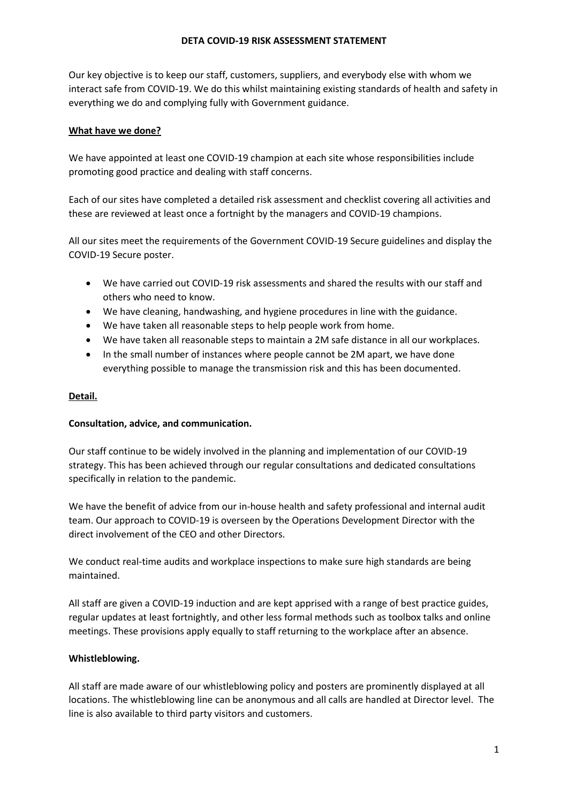#### **DETA COVID-19 RISK ASSESSMENT STATEMENT**

Our key objective is to keep our staff, customers, suppliers, and everybody else with whom we interact safe from COVID-19. We do this whilst maintaining existing standards of health and safety in everything we do and complying fully with Government guidance.

### **What have we done?**

We have appointed at least one COVID-19 champion at each site whose responsibilities include promoting good practice and dealing with staff concerns.

Each of our sites have completed a detailed risk assessment and checklist covering all activities and these are reviewed at least once a fortnight by the managers and COVID-19 champions.

All our sites meet the requirements of the Government COVID-19 Secure guidelines and display the COVID-19 Secure poster.

- We have carried out COVID-19 risk assessments and shared the results with our staff and others who need to know.
- We have cleaning, handwashing, and hygiene procedures in line with the guidance.
- We have taken all reasonable steps to help people work from home.
- We have taken all reasonable steps to maintain a 2M safe distance in all our workplaces.
- In the small number of instances where people cannot be 2M apart, we have done everything possible to manage the transmission risk and this has been documented.

# **Detail.**

### **Consultation, advice, and communication.**

Our staff continue to be widely involved in the planning and implementation of our COVID-19 strategy. This has been achieved through our regular consultations and dedicated consultations specifically in relation to the pandemic.

We have the benefit of advice from our in-house health and safety professional and internal audit team. Our approach to COVID-19 is overseen by the Operations Development Director with the direct involvement of the CEO and other Directors.

We conduct real-time audits and workplace inspections to make sure high standards are being maintained.

All staff are given a COVID-19 induction and are kept apprised with a range of best practice guides, regular updates at least fortnightly, and other less formal methods such as toolbox talks and online meetings. These provisions apply equally to staff returning to the workplace after an absence.

### **Whistleblowing.**

All staff are made aware of our whistleblowing policy and posters are prominently displayed at all locations. The whistleblowing line can be anonymous and all calls are handled at Director level. The line is also available to third party visitors and customers.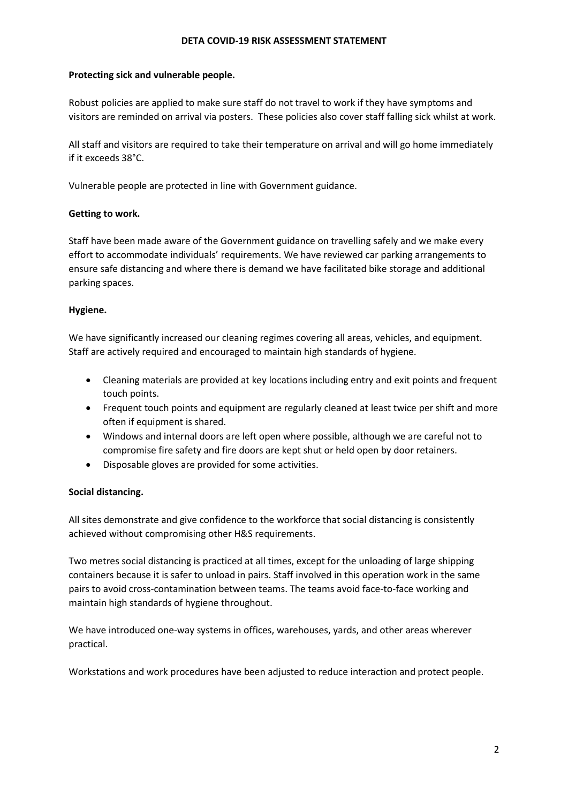#### **DETA COVID-19 RISK ASSESSMENT STATEMENT**

### **Protecting sick and vulnerable people.**

Robust policies are applied to make sure staff do not travel to work if they have symptoms and visitors are reminded on arrival via posters. These policies also cover staff falling sick whilst at work.

All staff and visitors are required to take their temperature on arrival and will go home immediately if it exceeds 38°C.

Vulnerable people are protected in line with Government guidance.

# **Getting to work.**

Staff have been made aware of the Government guidance on travelling safely and we make every effort to accommodate individuals' requirements. We have reviewed car parking arrangements to ensure safe distancing and where there is demand we have facilitated bike storage and additional parking spaces.

# **Hygiene.**

We have significantly increased our cleaning regimes covering all areas, vehicles, and equipment. Staff are actively required and encouraged to maintain high standards of hygiene.

- Cleaning materials are provided at key locations including entry and exit points and frequent touch points.
- Frequent touch points and equipment are regularly cleaned at least twice per shift and more often if equipment is shared.
- Windows and internal doors are left open where possible, although we are careful not to compromise fire safety and fire doors are kept shut or held open by door retainers.
- Disposable gloves are provided for some activities.

# **Social distancing.**

All sites demonstrate and give confidence to the workforce that social distancing is consistently achieved without compromising other H&S requirements.

Two metres social distancing is practiced at all times, except for the unloading of large shipping containers because it is safer to unload in pairs. Staff involved in this operation work in the same pairs to avoid cross-contamination between teams. The teams avoid face-to-face working and maintain high standards of hygiene throughout.

We have introduced one-way systems in offices, warehouses, yards, and other areas wherever practical.

Workstations and work procedures have been adjusted to reduce interaction and protect people.